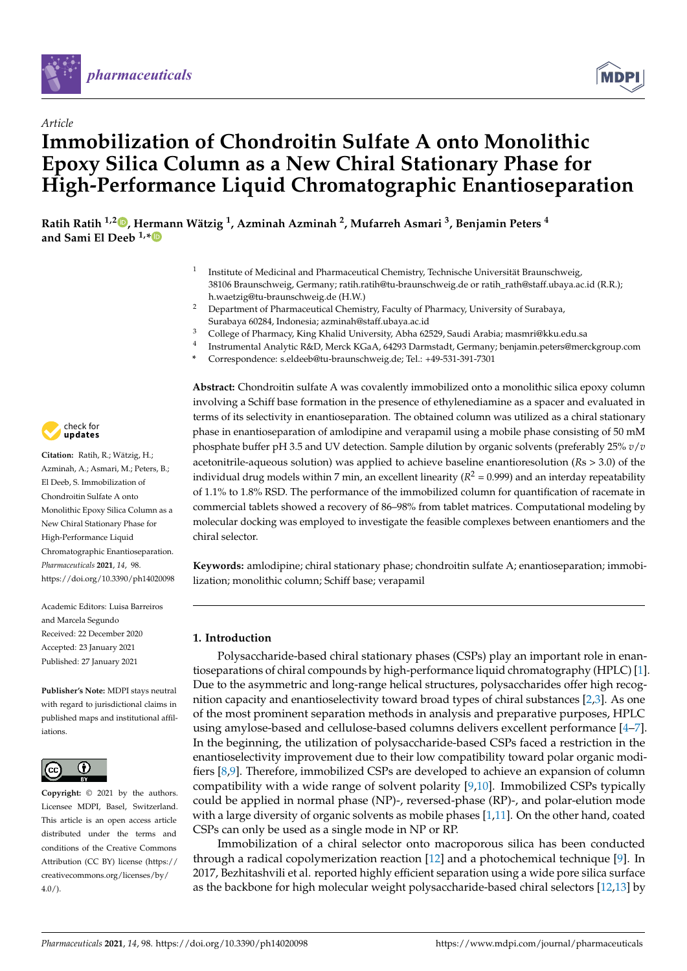

*Article*



# **Immobilization of Chondroitin Sulfate A onto Monolithic Epoxy Silica Column as a New Chiral Stationary Phase for High-Performance Liquid Chromatographic Enantioseparation**

**Ratih Ratih 1,2 , Hermann Wätzig <sup>1</sup> , Azminah Azminah <sup>2</sup> , Mufarreh Asmari <sup>3</sup> , Benjamin Peters <sup>4</sup> and Sami El Deeb 1,\***

- 1 Institute of Medicinal and Pharmaceutical Chemistry, Technische Universität Braunschweig, 38106 Braunschweig, Germany; ratih.ratih@tu-braunschweig.de or ratih\_rath@staff.ubaya.ac.id (R.R.); h.waetzig@tu-braunschweig.de (H.W.)
- <sup>2</sup> Department of Pharmaceutical Chemistry, Faculty of Pharmacy, University of Surabaya, Surabaya 60284, Indonesia; azminah@staff.ubaya.ac.id
- <sup>3</sup> College of Pharmacy, King Khalid University, Abha 62529, Saudi Arabia; masmri@kku.edu.sa
- 4 Instrumental Analytic R&D, Merck KGaA, 64293 Darmstadt, Germany; benjamin.peters@merckgroup.com
- **\*** Correspondence: s.eldeeb@tu-braunschweig.de; Tel.: +49-531-391-7301



Azminah, A.; Asmari, M.; Peters, B.; El Deeb, S. Immobilization of Chondroitin Sulfate A onto Monolithic Epoxy Silica Column as a New Chiral Stationary Phase for High-Performance Liquid Chromatographic Enantioseparation. *Pharmaceuticals* **2021**, *14*, 98. https://doi.org/10.3390/ph14020098

Academic Editors: Luisa Barreiros and Marcela Segundo Received: 22 December 2020 Accepted: 23 January 2021 Published: 27 January 2021

**Publisher's Note:** MDPI stays neutral with regard to jurisdictional claims in published maps and institutional affiliations.



**Copyright:** © 2021 by the authors. Licensee MDPI, Basel, Switzerland. This article is an open access article distributed under the terms and conditions of the Creative Commons Attribution (CC BY) license (https:// creativecommons.org/licenses/by/  $4.0/$ ).

**Abstract:** Chondroitin sulfate A was covalently immobilized onto a monolithic silica epoxy column involving a Schiff base formation in the presence of ethylenediamine as a spacer and evaluated in terms of its selectivity in enantioseparation. The obtained column was utilized as a chiral stationary phase in enantioseparation of amlodipine and verapamil using a mobile phase consisting of 50 mM phosphate buffer pH 3.5 and UV detection. Sample dilution by organic solvents (preferably 25% *v*/*v* acetonitrile-aqueous solution) was applied to achieve baseline enantioresolution (*R*s > 3.0) of the individual drug models within 7 min, an excellent linearity ( $R^2$  = 0.999) and an interday repeatability of 1.1% to 1.8% RSD. The performance of the immobilized column for quantification of racemate in commercial tablets showed a recovery of 86–98% from tablet matrices. Computational modeling by molecular docking was employed to investigate the feasible complexes between enantiomers and the chiral selector.

**Keywords:** amlodipine; chiral stationary phase; chondroitin sulfate A; enantioseparation; immobilization; monolithic column; Schiff base; verapamil

# **1. Introduction**

Polysaccharide-based chiral stationary phases (CSPs) play an important role in enantioseparations of chiral compounds by high-performance liquid chromatography (HPLC) [1]. Due to the asymmetric and long-range helical structures, polysaccharides offer high recognition capacity and enantioselectivity toward broad types of chiral substances [2,3]. As one of the most prominent separation methods in analysis and preparative purposes, HPLC using amylose-based and cellulose-based columns delivers excellent performance [4–7]. In the beginning, the utilization of polysaccharide-based CSPs faced a restriction in the enantioselectivity improvement due to their low compatibility toward polar organic modifiers [8,9]. Therefore, immobilized CSPs are developed to achieve an expansion of column compatibility with a wide range of solvent polarity [9,10]. Immobilized CSPs typically could be applied in normal phase (NP)-, reversed-phase (RP)-, and polar-elution mode with a large diversity of organic solvents as mobile phases  $[1,11]$ . On the other hand, coated CSPs can only be used as a single mode in NP or RP.

Immobilization of a chiral selector onto macroporous silica has been conducted through a radical copolymerization reaction [12] and a photochemical technique [9]. In 2017, Bezhitashvili et al. reported highly efficient separation using a wide pore silica surface as the backbone for high molecular weight polysaccharide-based chiral selectors [12,13] by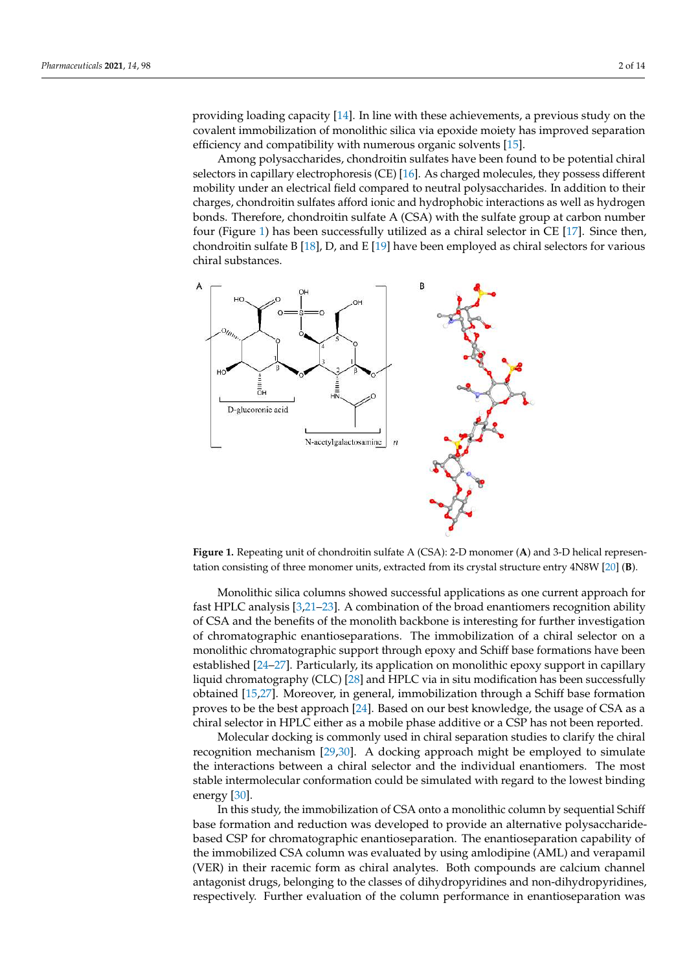providing loading capacity [14]. In line with these achievements, a previous study on the covalent immobilization of monolithic silica via epoxide moiety has improved separation efficiency and compatibility with numerous organic solvents [15].

Among polysaccharides, chondroitin sulfates have been found to be potential chiral selectors in capillary electrophoresis (CE) [16]. As charged molecules, they possess different mobility under an electrical field compared to neutral polysaccharides. In addition to their charges, chondroitin sulfates afford ionic and hydrophobic interactions as well as hydrogen bonds. Therefore, chondroitin sulfate A (CSA) with the sulfate group at carbon number four (Figure 1) has been successfully utilized as a chiral selector in CE [17]. Since then, chondroitin sulfate B [18], D, and E [19] have been employed as chiral selectors for various chiral substances.



**Figure 1.** Repeating unit of chondroitin sulfate A (CSA): 2-D monomer (**A**) and 3-D helical representation consisting of three monomer units, extracted from its crystal structure entry 4N8W [20] (**B**).

Monolithic silica columns showed successful applications as one current approach for fast HPLC analysis [3,21–23]. A combination of the broad enantiomers recognition ability of CSA and the benefits of the monolith backbone is interesting for further investigation of chromatographic enantioseparations. The immobilization of a chiral selector on a monolithic chromatographic support through epoxy and Schiff base formations have been established [24–27]. Particularly, its application on monolithic epoxy support in capillary liquid chromatography (CLC) [28] and HPLC via in situ modification has been successfully obtained [15,27]. Moreover, in general, immobilization through a Schiff base formation proves to be the best approach [24]. Based on our best knowledge, the usage of CSA as a chiral selector in HPLC either as a mobile phase additive or a CSP has not been reported.

Molecular docking is commonly used in chiral separation studies to clarify the chiral recognition mechanism [29,30]. A docking approach might be employed to simulate the interactions between a chiral selector and the individual enantiomers. The most stable intermolecular conformation could be simulated with regard to the lowest binding energy [30].

In this study, the immobilization of CSA onto a monolithic column by sequential Schiff base formation and reduction was developed to provide an alternative polysaccharidebased CSP for chromatographic enantioseparation. The enantioseparation capability of the immobilized CSA column was evaluated by using amlodipine (AML) and verapamil (VER) in their racemic form as chiral analytes. Both compounds are calcium channel antagonist drugs, belonging to the classes of dihydropyridines and non-dihydropyridines, respectively. Further evaluation of the column performance in enantioseparation was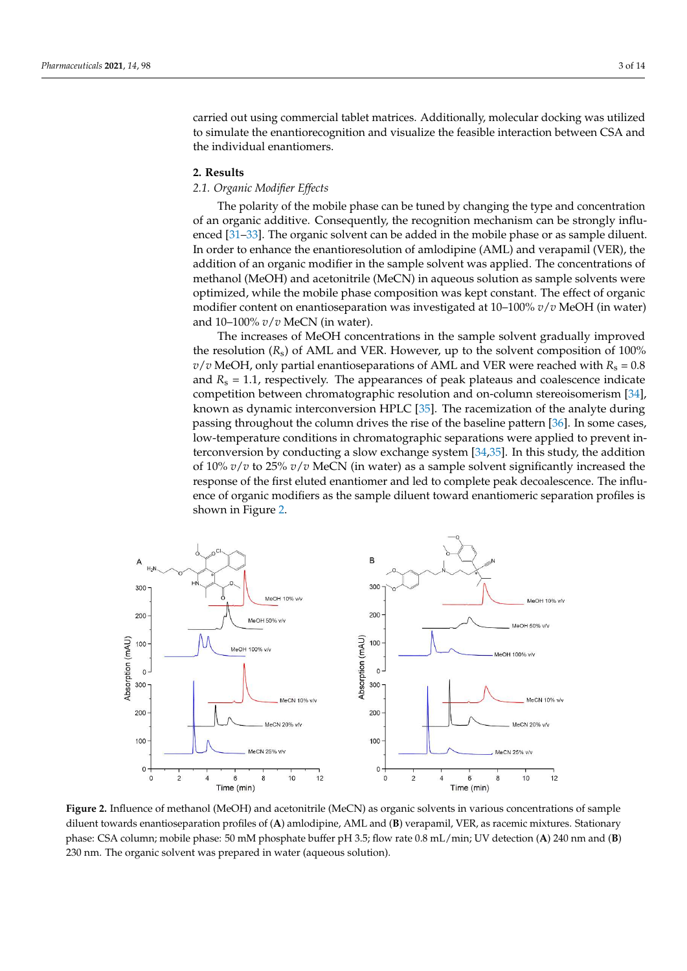carried out using commercial tablet matrices. Additionally, molecular docking was utilized to simulate the enantiorecognition and visualize the feasible interaction between CSA and the individual enantiomers.

# **2. Results**

# *2.1. Organic Modifier Effects*

The polarity of the mobile phase can be tuned by changing the type and concentration of an organic additive. Consequently, the recognition mechanism can be strongly influenced [31–33]. The organic solvent can be added in the mobile phase or as sample diluent. In order to enhance the enantioresolution of amlodipine (AML) and verapamil (VER), the addition of an organic modifier in the sample solvent was applied. The concentrations of methanol (MeOH) and acetonitrile (MeCN) in aqueous solution as sample solvents were optimized, while the mobile phase composition was kept constant. The effect of organic modifier content on enantioseparation was investigated at 10–100% *v*/*v* MeOH (in water) and 10–100% *v*/*v* MeCN (in water).

The increases of MeOH concentrations in the sample solvent gradually improved the resolution  $(R_s)$  of AML and VER. However, up to the solvent composition of 100%  $v/v$  MeOH, only partial enantioseparations of AML and VER were reached with  $R_s = 0.8$ and  $R_s = 1.1$ , respectively. The appearances of peak plateaus and coalescence indicate competition between chromatographic resolution and on-column stereoisomerism [34], known as dynamic interconversion HPLC [35]. The racemization of the analyte during passing throughout the column drives the rise of the baseline pattern [36]. In some cases, low-temperature conditions in chromatographic separations were applied to prevent interconversion by conducting a slow exchange system [34,35]. In this study, the addition of 10% *v*/*v* to 25% *v*/*v* MeCN (in water) as a sample solvent significantly increased the response of the first eluted enantiomer and led to complete peak decoalescence. The influence of organic modifiers as the sample diluent toward enantiomeric separation profiles is shown in Figure 2.



**Figure 2.** Influence of methanol (MeOH) and acetonitrile (MeCN) as organic solvents in various concentrations of sample diluent towards enantioseparation profiles of (**A**) amlodipine, AML and (**B**) verapamil, VER, as racemic mixtures. Stationary phase: CSA column; mobile phase: 50 mM phosphate buffer pH 3.5; flow rate 0.8 mL/min; UV detection (**A**) 240 nm and (**B**) 230 nm. The organic solvent was prepared in water (aqueous solution).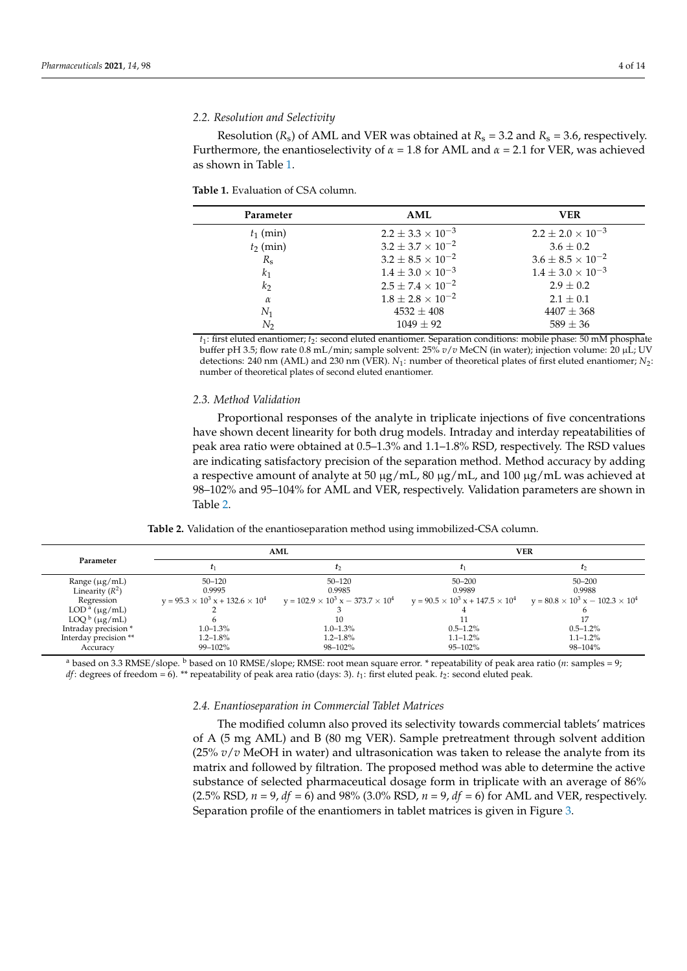# *2.2. Resolution and Selectivity*

Resolution  $(R_s)$  of AML and VER was obtained at  $R_s = 3.2$  and  $R_s = 3.6$ , respectively. Furthermore, the enantioselectivity of  $\alpha = 1.8$  for AML and  $\alpha = 2.1$  for VER, was achieved as shown in Table 1.

#### **Table 1.** Evaluation of CSA column.

| Parameter      | AML                          | VER                          |
|----------------|------------------------------|------------------------------|
| $t_1$ (min)    | $2.2 \pm 3.3 \times 10^{-3}$ | $2.2 \pm 2.0 \times 10^{-3}$ |
| $t_2$ (min)    | $3.2 \pm 3.7 \times 10^{-2}$ | $3.6 \pm 0.2$                |
| $R_{\rm s}$    | $3.2 \pm 8.5 \times 10^{-2}$ | $3.6 \pm 8.5 \times 10^{-2}$ |
| $k_1$          | $1.4 \pm 3.0 \times 10^{-3}$ | $1.4 \pm 3.0 \times 10^{-3}$ |
| k <sub>2</sub> | $2.5 \pm 7.4 \times 10^{-2}$ | $2.9 \pm 0.2$                |
| $\alpha$       | $1.8 \pm 2.8 \times 10^{-2}$ | $2.1 \pm 0.1$                |
| $N_1$          | $4532 \pm 408$               | $4407 \pm 368$               |
| N,             | $1049 \pm 92$                | $589 \pm 36$                 |

*t*<sub>1</sub>: first eluted enantiomer; *t*<sub>2</sub>: second eluted enantiomer. Separation conditions: mobile phase: 50 mM phosphate buffer pH 3.5; flow rate 0.8 mL/min; sample solvent: 25% *v*/*v* MeCN (in water); injection volume: 20 µL; UV detections: 240 nm (AML) and 230 nm (VER). *N*1: number of theoretical plates of first eluted enantiomer; *N*2: number of theoretical plates of second eluted enantiomer.

# *2.3. Method Validation*

Proportional responses of the analyte in triplicate injections of five concentrations have shown decent linearity for both drug models. Intraday and interday repeatabilities of peak area ratio were obtained at 0.5–1.3% and 1.1–1.8% RSD, respectively. The RSD values are indicating satisfactory precision of the separation method. Method accuracy by adding a respective amount of analyte at 50  $\mu$ g/mL, 80  $\mu$ g/mL, and 100  $\mu$ g/mL was achieved at 98–102% and 95–104% for AML and VER, respectively. Validation parameters are shown in Table 2.

| Parameter             | AML                                            |                                                 | VER                                          |                                                |  |
|-----------------------|------------------------------------------------|-------------------------------------------------|----------------------------------------------|------------------------------------------------|--|
|                       |                                                |                                                 |                                              |                                                |  |
| Range $(\mu g/mL)$    | 50–120                                         | 50–120                                          | $50 - 200$                                   | $50 - 200$                                     |  |
| Linearity $(R^2)$     | 0.9995                                         | 0.9985                                          | 0.9989                                       | 0.9988                                         |  |
| Regression            | $y = 95.3 \times 10^3$ x + 132.6 $\times 10^4$ | $y = 102.9 \times 10^3$ x $- 373.7 \times 10^4$ | $v = 90.5 \times 10^3 x + 147.5 \times 10^4$ | $y = 80.8 \times 10^3$ x $- 102.3 \times 10^4$ |  |
| $LODa$ (µg/mL)        |                                                |                                                 |                                              |                                                |  |
| $LOQ^b$ (µg/mL)       |                                                |                                                 |                                              |                                                |  |
| Intraday precision *  | $1.0 - 1.3\%$                                  | $1.0 - 1.3\%$                                   | $0.5 - 1.2\%$                                | $0.5 - 1.2\%$                                  |  |
| Interday precision ** | $1.2 - 1.8\%$                                  | $1.2 - 1.8\%$                                   | $1.1 - 1.2\%$                                | $1.1 - 1.2\%$                                  |  |
| Accuracy              | 99–102%                                        | 98-102%                                         | $95 - 102\%$                                 | 98-104%                                        |  |

<sup>a</sup> based on 3.3 RMSE/slope. <sup>b</sup> based on 10 RMSE/slope; RMSE: root mean square error. \* repeatability of peak area ratio (*n*: samples = 9; *df*: degrees of freedom = 6). \*\* repeatability of peak area ratio (days: 3). *t*<sub>1</sub>: first eluted peak. *t*<sub>2</sub>: second eluted peak.

# *2.4. Enantioseparation in Commercial Tablet Matrices*

The modified column also proved its selectivity towards commercial tablets' matrices of A (5 mg AML) and B (80 mg VER). Sample pretreatment through solvent addition  $(25\% v/v)$  MeOH in water) and ultrasonication was taken to release the analyte from its matrix and followed by filtration. The proposed method was able to determine the active substance of selected pharmaceutical dosage form in triplicate with an average of 86% (2.5% RSD*, n* = 9, *df* = 6) and 98% (3.0% RSD, *n* = 9, *df* = 6) for AML and VER, respectively. Separation profile of the enantiomers in tablet matrices is given in Figure 3.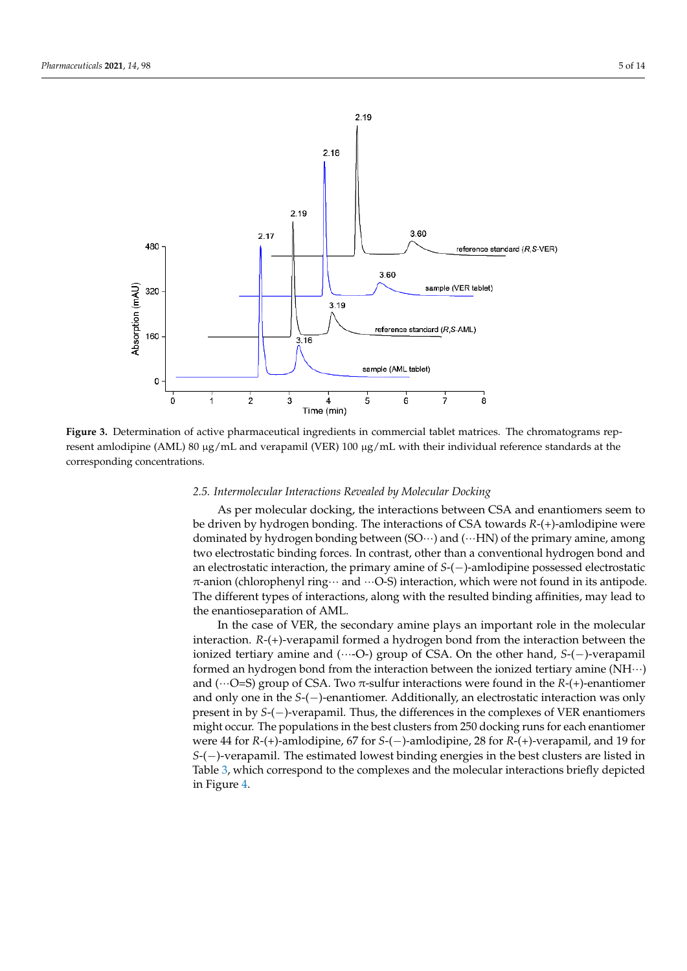

**Figure 3.** Determination of active pharmaceutical ingredients in commercial tablet matrices. The chromatograms represent amlodipine (AML) 80 µg/mL and verapamil (VER) 100 µg/mL with their individual reference standards at the corresponding concentrations.

# *2.5. Intermolecular Interactions Revealed by Molecular Docking*

As per molecular docking, the interactions between CSA and enantiomers seem to be driven by hydrogen bonding. The interactions of CSA towards *R*-(+)-amlodipine were dominated by hydrogen bonding between  $(SO\cdots)$  and  $(\cdots HN)$  of the primary amine, among two electrostatic binding forces. In contrast, other than a conventional hydrogen bond and an electrostatic interaction, the primary amine of *S*-(−)-amlodipine possessed electrostatic  $\pi$ -anion (chlorophenyl ring $\cdots$  and  $\cdots$ O-S) interaction, which were not found in its antipode. The different types of interactions, along with the resulted binding affinities, may lead to the enantioseparation of AML.

In the case of VER, the secondary amine plays an important role in the molecular interaction. *R*-(+)-verapamil formed a hydrogen bond from the interaction between the ionized tertiary amine and (···-O-) group of CSA. On the other hand, *S*-(−)-verapamil formed an hydrogen bond from the interaction between the ionized tertiary amine (NH···) and ( $\cdots$ O=S) group of CSA. Two  $\pi$ -sulfur interactions were found in the *R*-(+)-enantiomer and only one in the *S*-(−)-enantiomer. Additionally, an electrostatic interaction was only present in by *S*-(−)-verapamil. Thus, the differences in the complexes of VER enantiomers might occur. The populations in the best clusters from 250 docking runs for each enantiomer were 44 for *R*-(+)-amlodipine, 67 for *S*-(−)-amlodipine, 28 for *R*-(+)-verapamil, and 19 for *S*-(−)-verapamil. The estimated lowest binding energies in the best clusters are listed in Table 3, which correspond to the complexes and the molecular interactions briefly depicted in Figure 4.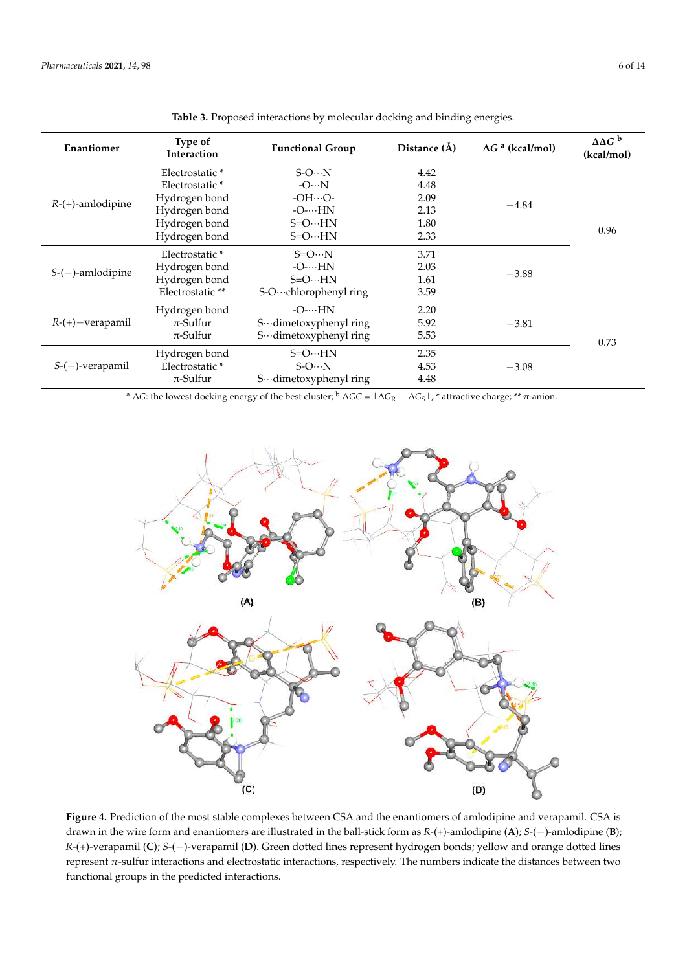| Enantiomer          | Type of<br>Interaction     | <b>Functional Group</b>        | Distance (Å) | $\Delta G$ <sup>a</sup> (kcal/mol) | $\Delta\Delta G^b$<br>(kcal/mol) |
|---------------------|----------------------------|--------------------------------|--------------|------------------------------------|----------------------------------|
| $R-(+)$ -amlodipine | Electrostatic <sup>*</sup> | $S-ON$                         | 4.42         |                                    | 0.96                             |
|                     | Electrostatic <sup>*</sup> | $-ON$                          | 4.48         |                                    |                                  |
|                     | Hydrogen bond              | $-OHO-$                        | 2.09         |                                    |                                  |
|                     | Hydrogen bond              | $-O$ - $\cdots$ HN             | 2.13         | $-4.84$                            |                                  |
|                     | Hydrogen bond              | $S = O \cdots H N$             | 1.80         |                                    |                                  |
|                     | Hydrogen bond              | $S = O \cdots H N$             | 2.33         |                                    |                                  |
| $S-(-)$ -amlodipine | Electrostatic <sup>*</sup> | $S = O \cdots N$               | 3.71         |                                    |                                  |
|                     | Hydrogen bond              | $-O$ - $\cdots$ HN             | 2.03         |                                    |                                  |
|                     | Hydrogen bond              | $S = O \cdots H N$             | 1.61         | $-3.88$                            |                                  |
|                     | Electrostatic**            | S-O $\cdots$ chlorophenyl ring | 3.59         |                                    |                                  |
| $R-(+)$ - verapamil | Hydrogen bond              | $-O$ - $\cdots$ HN             | 2.20         |                                    |                                  |
|                     | $\pi$ -Sulfur              | S…dimetoxyphenyl ring          | 5.92         | $-3.81$                            |                                  |
|                     | $\pi$ -Sulfur              | S…dimetoxyphenyl ring          | 5.53         |                                    | 0.73                             |
| $S-(-)$ -verapamil  | Hydrogen bond              | $S = O \cdots H N$             | 2.35         |                                    |                                  |
|                     | Electrostatic*             | $S-O··N$                       | 4.53         | $-3.08$                            |                                  |
|                     | $\pi$ -Sulfur              | S…dimetoxyphenyl ring          | 4.48         |                                    |                                  |

**Table 3.** Proposed interactions by molecular docking and binding energies.

<sup>a</sup> ∆*G*: the lowest docking energy of the best cluster; <sup>b</sup> ∆*GG =* |∆*G*<sup>R</sup> − ∆*G*S|; \* attractive charge; \*\* π-anion.



**Figure 4.** Prediction of the most stable complexes between CSA and the enantiomers of amlodipine and verapamil. CSA is − drawn in the wire form and enantiomers are illustrated in the ball-stick form as *R*-(+)-amlodipine (**A**); *S*-(−)-amlodipine (**B**); *R*-(+)-verapamil (**C**); *S*-(−)-verapamil (**D**). Green dotted lines represent hydrogen bonds; yellow and orange dotted lines represent *π*-sulfur interactions and electrostatic interactions, respectively. The numbers indicate the distances between two functional groups in the predicted interactions.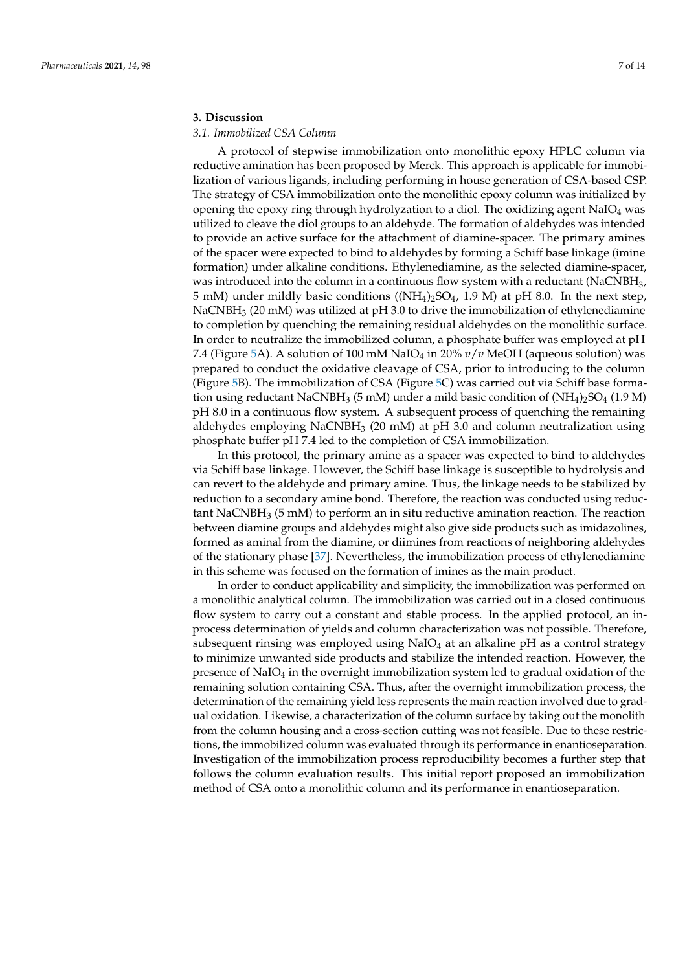# **3. Discussion**

# *3.1. Immobilized CSA Column*

A protocol of stepwise immobilization onto monolithic epoxy HPLC column via reductive amination has been proposed by Merck. This approach is applicable for immobilization of various ligands, including performing in house generation of CSA-based CSP. The strategy of CSA immobilization onto the monolithic epoxy column was initialized by opening the epoxy ring through hydrolyzation to a diol. The oxidizing agent  $NaO<sub>4</sub>$  was utilized to cleave the diol groups to an aldehyde. The formation of aldehydes was intended to provide an active surface for the attachment of diamine-spacer. The primary amines of the spacer were expected to bind to aldehydes by forming a Schiff base linkage (imine formation) under alkaline conditions. Ethylenediamine, as the selected diamine-spacer, was introduced into the column in a continuous flow system with a reductant (NaCNBH<sub>3</sub>, 5 mM) under mildly basic conditions (( $NH<sub>4</sub>$ )<sub>2</sub>SO<sub>4</sub>, 1.9 M) at pH 8.0. In the next step,  $NaCNBH<sub>3</sub>$  (20 mM) was utilized at pH 3.0 to drive the immobilization of ethylenediamine to completion by quenching the remaining residual aldehydes on the monolithic surface. In order to neutralize the immobilized column, a phosphate buffer was employed at pH 7.4 (Figure 5A). A solution of 100 mM NaIO<sup>4</sup> in 20% *v*/*v* MeOH (aqueous solution) was prepared to conduct the oxidative cleavage of CSA, prior to introducing to the column (Figure 5B). The immobilization of CSA (Figure 5C) was carried out via Schiff base formation using reductant NaCNBH<sub>3</sub> (5 mM) under a mild basic condition of  $(NH_4)$ <sub>2</sub>SO<sub>4</sub> (1.9 M) pH 8.0 in a continuous flow system. A subsequent process of quenching the remaining aldehydes employing  $NaCNBH<sub>3</sub>$  (20 mM) at pH 3.0 and column neutralization using phosphate buffer pH 7.4 led to the completion of CSA immobilization.

In this protocol, the primary amine as a spacer was expected to bind to aldehydes via Schiff base linkage. However, the Schiff base linkage is susceptible to hydrolysis and can revert to the aldehyde and primary amine. Thus, the linkage needs to be stabilized by reduction to a secondary amine bond. Therefore, the reaction was conducted using reductant NaCNBH<sub>3</sub> (5 mM) to perform an in situ reductive amination reaction. The reaction between diamine groups and aldehydes might also give side products such as imidazolines, formed as aminal from the diamine, or diimines from reactions of neighboring aldehydes of the stationary phase [37]. Nevertheless, the immobilization process of ethylenediamine in this scheme was focused on the formation of imines as the main product.

In order to conduct applicability and simplicity, the immobilization was performed on a monolithic analytical column. The immobilization was carried out in a closed continuous flow system to carry out a constant and stable process. In the applied protocol, an inprocess determination of yields and column characterization was not possible. Therefore, subsequent rinsing was employed using  $NaO<sub>4</sub>$  at an alkaline pH as a control strategy to minimize unwanted side products and stabilize the intended reaction. However, the presence of  $NaO<sub>4</sub>$  in the overnight immobilization system led to gradual oxidation of the remaining solution containing CSA. Thus, after the overnight immobilization process, the determination of the remaining yield less represents the main reaction involved due to gradual oxidation. Likewise, a characterization of the column surface by taking out the monolith from the column housing and a cross-section cutting was not feasible. Due to these restrictions, the immobilized column was evaluated through its performance in enantioseparation. Investigation of the immobilization process reproducibility becomes a further step that follows the column evaluation results. This initial report proposed an immobilization method of CSA onto a monolithic column and its performance in enantioseparation.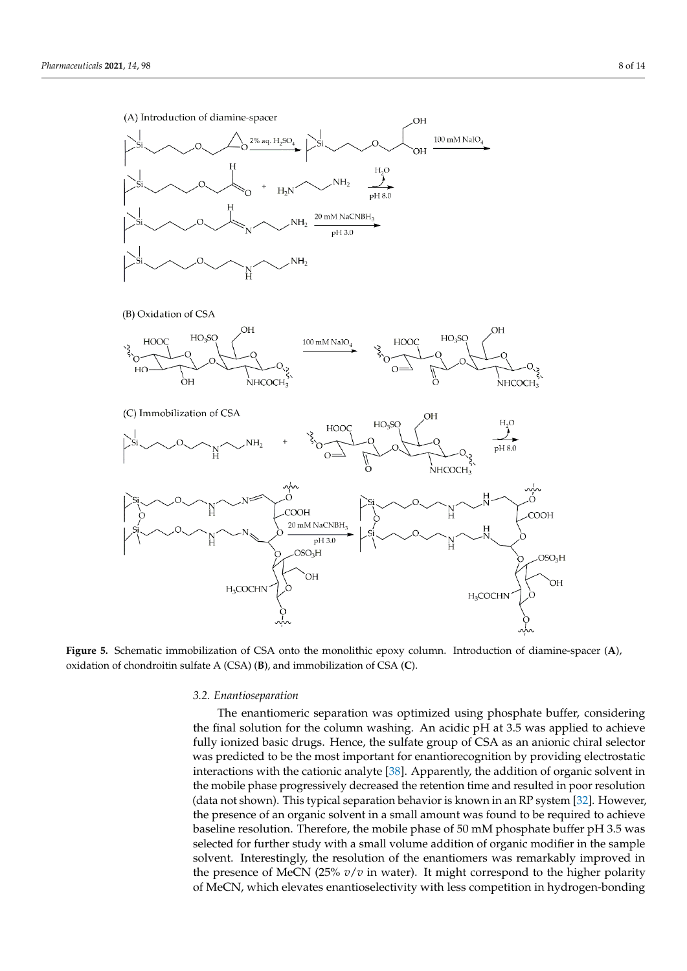

**Figure 5.** Schematic immobilization of CSA onto the monolithic epoxy column. Introduction of diamine-spacer (**A**), oxidation of chondroitin sulfate A (CSA) (**B**), and immobilization of CSA (**C**).

#### *3.2. Enantioseparation*

The enantiomeric separation was optimized using phosphate buffer, considering the final solution for the column washing. An acidic pH at 3.5 was applied to achieve fully ionized basic drugs. Hence, the sulfate group of CSA as an anionic chiral selector was predicted to be the most important for enantiorecognition by providing electrostatic interactions with the cationic analyte [38]. Apparently, the addition of organic solvent in the mobile phase progressively decreased the retention time and resulted in poor resolution (data not shown). This typical separation behavior is known in an RP system [32]. However, the presence of an organic solvent in a small amount was found to be required to achieve baseline resolution. Therefore, the mobile phase of 50 mM phosphate buffer pH 3.5 was selected for further study with a small volume addition of organic modifier in the sample solvent. Interestingly, the resolution of the enantiomers was remarkably improved in the presence of MeCN (25% *v*/*v* in water). It might correspond to the higher polarity of MeCN, which elevates enantioselectivity with less competition in hydrogen-bonding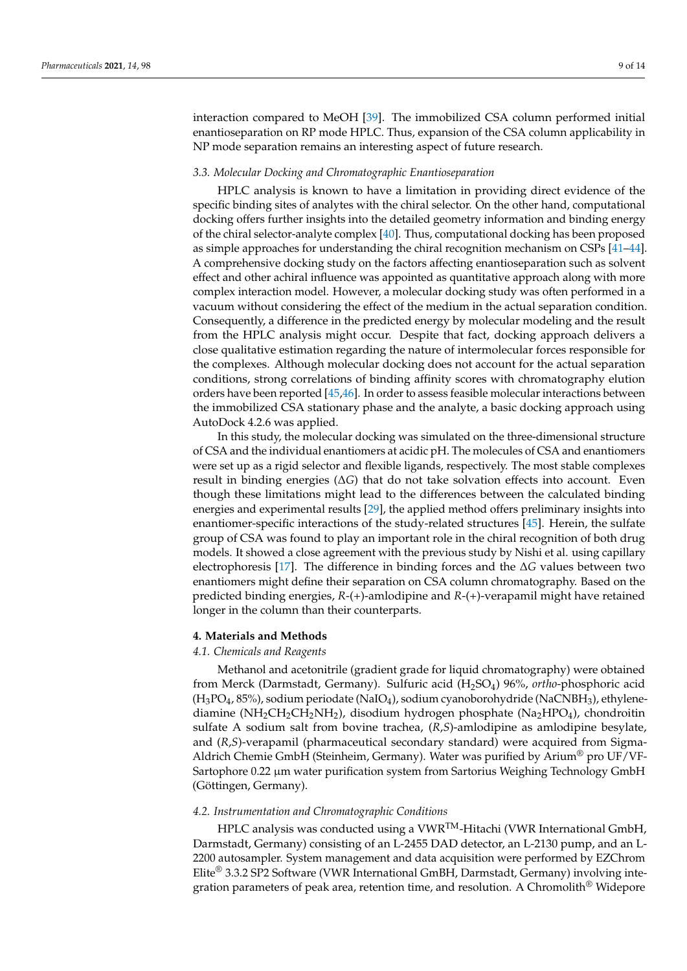interaction compared to MeOH [39]. The immobilized CSA column performed initial enantioseparation on RP mode HPLC. Thus, expansion of the CSA column applicability in NP mode separation remains an interesting aspect of future research.

#### *3.3. Molecular Docking and Chromatographic Enantioseparation*

HPLC analysis is known to have a limitation in providing direct evidence of the specific binding sites of analytes with the chiral selector. On the other hand, computational docking offers further insights into the detailed geometry information and binding energy of the chiral selector-analyte complex [40]. Thus, computational docking has been proposed as simple approaches for understanding the chiral recognition mechanism on CSPs [41–44]. A comprehensive docking study on the factors affecting enantioseparation such as solvent effect and other achiral influence was appointed as quantitative approach along with more complex interaction model. However, a molecular docking study was often performed in a vacuum without considering the effect of the medium in the actual separation condition. Consequently, a difference in the predicted energy by molecular modeling and the result from the HPLC analysis might occur. Despite that fact, docking approach delivers a close qualitative estimation regarding the nature of intermolecular forces responsible for the complexes. Although molecular docking does not account for the actual separation conditions, strong correlations of binding affinity scores with chromatography elution orders have been reported [45,46]. In order to assess feasible molecular interactions between the immobilized CSA stationary phase and the analyte, a basic docking approach using AutoDock 4.2.6 was applied.

In this study, the molecular docking was simulated on the three-dimensional structure of CSA and the individual enantiomers at acidic pH. The molecules of CSA and enantiomers were set up as a rigid selector and flexible ligands, respectively. The most stable complexes result in binding energies (∆*G*) that do not take solvation effects into account. Even though these limitations might lead to the differences between the calculated binding energies and experimental results [29], the applied method offers preliminary insights into enantiomer-specific interactions of the study-related structures [45]. Herein, the sulfate group of CSA was found to play an important role in the chiral recognition of both drug models. It showed a close agreement with the previous study by Nishi et al. using capillary electrophoresis [17]. The difference in binding forces and the ∆*G* values between two enantiomers might define their separation on CSA column chromatography. Based on the predicted binding energies, *R*-(+)-amlodipine and *R*-(+)-verapamil might have retained longer in the column than their counterparts.

#### **4. Materials and Methods**

#### *4.1. Chemicals and Reagents*

Methanol and acetonitrile (gradient grade for liquid chromatography) were obtained from Merck (Darmstadt, Germany). Sulfuric acid (H2SO4) 96%, *ortho*-phosphoric acid (H3PO4, 85%), sodium periodate (NaIO4), sodium cyanoborohydride (NaCNBH3), ethylenediamine ( $NH<sub>2</sub>CH<sub>2</sub>CH<sub>2</sub>NH<sub>2</sub>$ ), disodium hydrogen phosphate ( $Na<sub>2</sub>HPO<sub>4</sub>$ ), chondroitin sulfate A sodium salt from bovine trachea, (*R*,*S*)-amlodipine as amlodipine besylate, and (*R*,*S*)-verapamil (pharmaceutical secondary standard) were acquired from Sigma-Aldrich Chemie GmbH (Steinheim, Germany). Water was purified by Arium<sup>®</sup> pro UF/VF-Sartophore 0.22 µm water purification system from Sartorius Weighing Technology GmbH (Göttingen, Germany).

# *4.2. Instrumentation and Chromatographic Conditions*

HPLC analysis was conducted using a VWR<sup>TM</sup>-Hitachi (VWR International GmbH, Darmstadt, Germany) consisting of an L-2455 DAD detector, an L-2130 pump, and an L-2200 autosampler. System management and data acquisition were performed by EZChrom Elite® 3.3.2 SP2 Software (VWR International GmBH, Darmstadt, Germany) involving integration parameters of peak area, retention time, and resolution. A Chromolith<sup>®</sup> Widepore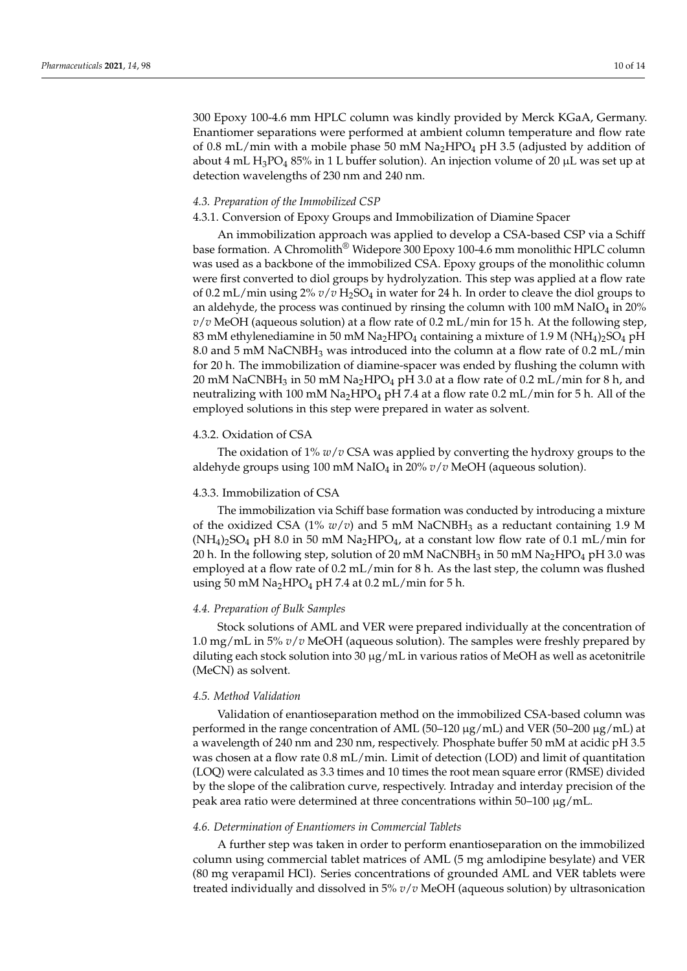300 Epoxy 100-4.6 mm HPLC column was kindly provided by Merck KGaA, Germany. Enantiomer separations were performed at ambient column temperature and flow rate of 0.8 mL/min with a mobile phase 50 mM  $Na<sub>2</sub>HPO<sub>4</sub>$  pH 3.5 (adjusted by addition of about 4 mL H<sub>3</sub>PO<sub>4</sub> 85% in 1 L buffer solution). An injection volume of 20  $\mu$ L was set up at detection wavelengths of 230 nm and 240 nm.

#### *4.3. Preparation of the Immobilized CSP*

#### 4.3.1. Conversion of Epoxy Groups and Immobilization of Diamine Spacer

An immobilization approach was applied to develop a CSA-based CSP via a Schiff base formation. A Chromolith® Widepore 300 Epoxy 100-4.6 mm monolithic HPLC column was used as a backbone of the immobilized CSA. Epoxy groups of the monolithic column were first converted to diol groups by hydrolyzation. This step was applied at a flow rate of 0.2 mL/min using 2% *v*/*v* H2SO<sup>4</sup> in water for 24 h. In order to cleave the diol groups to an aldehyde, the process was continued by rinsing the column with 100 mM NaIO<sub>4</sub> in 20%  $v/v$  MeOH (aqueous solution) at a flow rate of 0.2 mL/min for 15 h. At the following step, 83 mM ethylenediamine in 50 mM Na<sub>2</sub>HPO<sub>4</sub> containing a mixture of 1.9 M (NH<sub>4</sub>)<sub>2</sub>SO<sub>4</sub> pH 8.0 and 5 mM NaCNBH<sup>3</sup> was introduced into the column at a flow rate of 0.2 mL/min for 20 h. The immobilization of diamine-spacer was ended by flushing the column with 20 mM NaCNBH<sub>3</sub> in 50 mM Na<sub>2</sub>HPO<sub>4</sub> pH 3.0 at a flow rate of 0.2 mL/min for 8 h, and neutralizing with 100 mM  $Na<sub>2</sub>HPO<sub>4</sub>$  pH 7.4 at a flow rate 0.2 mL/min for 5 h. All of the employed solutions in this step were prepared in water as solvent.

# 4.3.2. Oxidation of CSA

The oxidation of 1% *w*/*v* CSA was applied by converting the hydroxy groups to the aldehyde groups using 100 mM NaIO<sup>4</sup> in 20% *v*/*v* MeOH (aqueous solution).

## 4.3.3. Immobilization of CSA

The immobilization via Schiff base formation was conducted by introducing a mixture of the oxidized CSA  $(1\% w/v)$  and 5 mM NaCNBH<sub>3</sub> as a reductant containing 1.9 M  $(NH_4)$ <sub>2</sub>SO<sub>4</sub> pH 8.0 in 50 mM Na<sub>2</sub>HPO<sub>4</sub>, at a constant low flow rate of 0.1 mL/min for 20 h. In the following step, solution of 20 mM NaCNBH<sub>3</sub> in 50 mM Na<sub>2</sub>HPO<sub>4</sub> pH 3.0 was employed at a flow rate of  $0.2 \text{ mL/min}$  for 8 h. As the last step, the column was flushed using 50 mM  $Na<sub>2</sub>HPO<sub>4</sub> pH 7.4$  at 0.2 mL/min for 5 h.

#### *4.4. Preparation of Bulk Samples*

Stock solutions of AML and VER were prepared individually at the concentration of 1.0 mg/mL in 5% *v*/*v* MeOH (aqueous solution). The samples were freshly prepared by diluting each stock solution into  $30 \mu g/mL$  in various ratios of MeOH as well as acetonitrile (MeCN) as solvent.

#### *4.5. Method Validation*

Validation of enantioseparation method on the immobilized CSA-based column was performed in the range concentration of AML (50–120 µg/mL) and VER (50–200 µg/mL) at a wavelength of 240 nm and 230 nm, respectively. Phosphate buffer 50 mM at acidic pH 3.5 was chosen at a flow rate 0.8 mL/min. Limit of detection (LOD) and limit of quantitation (LOQ) were calculated as 3.3 times and 10 times the root mean square error (RMSE) divided by the slope of the calibration curve, respectively. Intraday and interday precision of the peak area ratio were determined at three concentrations within 50–100 µg/mL.

#### *4.6. Determination of Enantiomers in Commercial Tablets*

A further step was taken in order to perform enantioseparation on the immobilized column using commercial tablet matrices of AML (5 mg amlodipine besylate) and VER (80 mg verapamil HCl). Series concentrations of grounded AML and VER tablets were treated individually and dissolved in 5% *v*/*v* MeOH (aqueous solution) by ultrasonication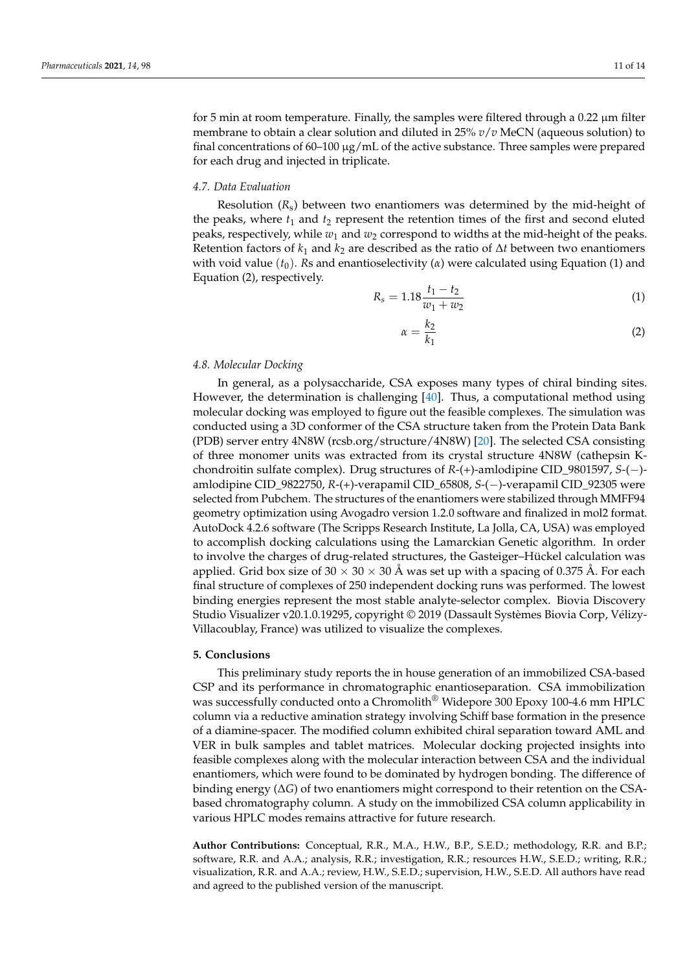for 5 min at room temperature. Finally, the samples were filtered through a  $0.22 \mu m$  filter membrane to obtain a clear solution and diluted in 25% *v*/*v* MeCN (aqueous solution) to final concentrations of  $60-100 \mu g/mL$  of the active substance. Three samples were prepared for each drug and injected in triplicate.

## *4.7. Data Evaluation*

Resolution (*R*s) between two enantiomers was determined by the mid-height of the peaks, where  $t_1$  and  $t_2$  represent the retention times of the first and second eluted peaks, respectively, while  $w_1$  and  $w_2$  correspond to widths at the mid-height of the peaks. Retention factors of  $k_1$  and  $k_2$  are described as the ratio of  $\Delta t$  between two enantiomers with void value  $(t_0)$ . *Rs* and enantioselectivity ( $\alpha$ ) were calculated using Equation (1) and Equation (2), respectively.

$$
R_s = 1.18 \frac{t_1 - t_2}{w_1 + w_2} \tag{1}
$$

$$
\alpha = \frac{k_2}{k_1} \tag{2}
$$

#### *4.8. Molecular Docking*

In general, as a polysaccharide, CSA exposes many types of chiral binding sites. However, the determination is challenging [40]. Thus, a computational method using molecular docking was employed to figure out the feasible complexes. The simulation was conducted using a 3D conformer of the CSA structure taken from the Protein Data Bank (PDB) server entry 4N8W (rcsb.org/structure/4N8W) [20]. The selected CSA consisting of three monomer units was extracted from its crystal structure 4N8W (cathepsin Kchondroitin sulfate complex). Drug structures of *R*-(+)-amlodipine CID\_9801597, *S*-(−) amlodipine CID\_9822750, *R*-(+)-verapamil CID\_65808, *S*-(−)-verapamil CID\_92305 were selected from Pubchem. The structures of the enantiomers were stabilized through MMFF94 geometry optimization using Avogadro version 1.2.0 software and finalized in mol2 format. AutoDock 4.2.6 software (The Scripps Research Institute, La Jolla, CA, USA) was employed to accomplish docking calculations using the Lamarckian Genetic algorithm. In order to involve the charges of drug-related structures, the Gasteiger–Hückel calculation was applied. Grid box size of 30  $\times$  30  $\times$  30 Å was set up with a spacing of 0.375 Å. For each final structure of complexes of 250 independent docking runs was performed. The lowest binding energies represent the most stable analyte-selector complex. Biovia Discovery Studio Visualizer v20.1.0.19295, copyright © 2019 (Dassault Systèmes Biovia Corp, Vélizy-Villacoublay, France) was utilized to visualize the complexes.

## **5. Conclusions**

This preliminary study reports the in house generation of an immobilized CSA-based CSP and its performance in chromatographic enantioseparation. CSA immobilization was successfully conducted onto a Chromolith<sup>®</sup> Widepore 300 Epoxy 100-4.6 mm HPLC column via a reductive amination strategy involving Schiff base formation in the presence of a diamine-spacer. The modified column exhibited chiral separation toward AML and VER in bulk samples and tablet matrices. Molecular docking projected insights into feasible complexes along with the molecular interaction between CSA and the individual enantiomers, which were found to be dominated by hydrogen bonding. The difference of binding energy (∆*G*) of two enantiomers might correspond to their retention on the CSAbased chromatography column. A study on the immobilized CSA column applicability in various HPLC modes remains attractive for future research.

**Author Contributions:** Conceptual, R.R., M.A., H.W., B.P., S.E.D.; methodology, R.R. and B.P.; software, R.R. and A.A.; analysis, R.R.; investigation, R.R.; resources H.W., S.E.D.; writing, R.R.; visualization, R.R. and A.A.; review, H.W., S.E.D.; supervision, H.W., S.E.D. All authors have read and agreed to the published version of the manuscript.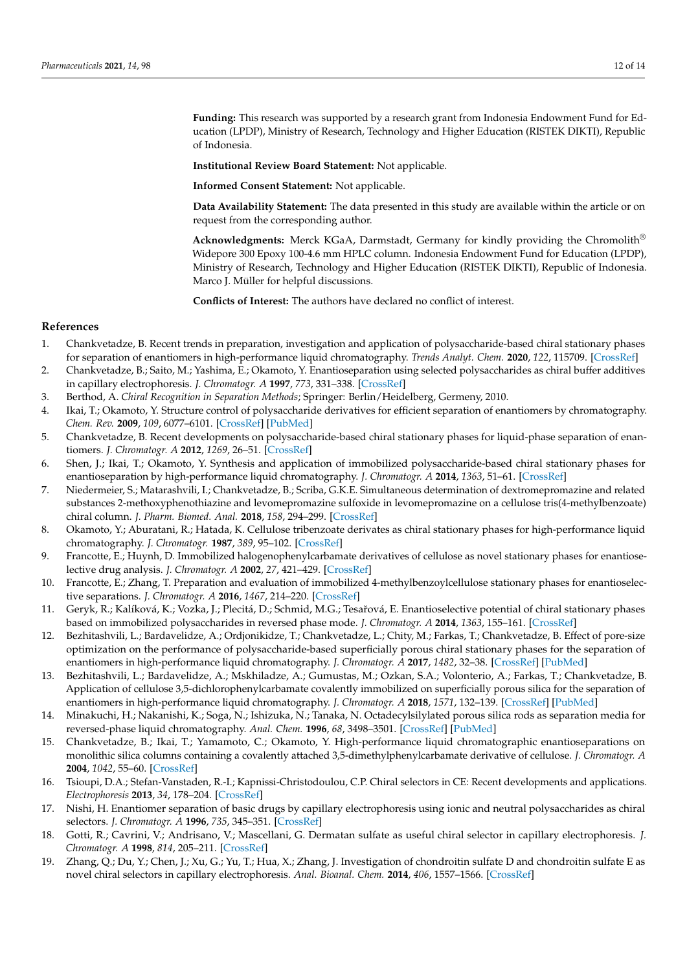**Funding:** This research was supported by a research grant from Indonesia Endowment Fund for Education (LPDP), Ministry of Research, Technology and Higher Education (RISTEK DIKTI), Republic of Indonesia.

**Institutional Review Board Statement:** Not applicable.

**Informed Consent Statement:** Not applicable.

**Data Availability Statement:** The data presented in this study are available within the article or on request from the corresponding author.

**Acknowledgments:** Merck KGaA, Darmstadt, Germany for kindly providing the Chromolith® Widepore 300 Epoxy 100-4.6 mm HPLC column. Indonesia Endowment Fund for Education (LPDP), Ministry of Research, Technology and Higher Education (RISTEK DIKTI), Republic of Indonesia. Marco J. Müller for helpful discussions.

**Conflicts of Interest:** The authors have declared no conflict of interest.

# **References**

- 1. Chankvetadze, B. Recent trends in preparation, investigation and application of polysaccharide-based chiral stationary phases for separation of enantiomers in high-performance liquid chromatography. *Trends Analyt. Chem.* **2020**, *122*, 115709. [CrossRef]
- 2. Chankvetadze, B.; Saito, M.; Yashima, E.; Okamoto, Y. Enantioseparation using selected polysaccharides as chiral buffer additives in capillary electrophoresis. *J. Chromatogr. A* **1997**, *773*, 331–338. [CrossRef]
- 3. Berthod, A. *Chiral Recognition in Separation Methods*; Springer: Berlin/Heidelberg, Germeny, 2010.
- 4. Ikai, T.; Okamoto, Y. Structure control of polysaccharide derivatives for efficient separation of enantiomers by chromatography. *Chem. Rev.* **2009**, *109*, 6077–6101. [CrossRef] [PubMed]
- 5. Chankvetadze, B. Recent developments on polysaccharide-based chiral stationary phases for liquid-phase separation of enantiomers. *J. Chromatogr. A* **2012**, *1269*, 26–51. [CrossRef]
- 6. Shen, J.; Ikai, T.; Okamoto, Y. Synthesis and application of immobilized polysaccharide-based chiral stationary phases for enantioseparation by high-performance liquid chromatography. *J. Chromatogr. A* **2014**, *1363*, 51–61. [CrossRef]
- 7. Niedermeier, S.; Matarashvili, I.; Chankvetadze, B.; Scriba, G.K.E. Simultaneous determination of dextromepromazine and related substances 2-methoxyphenothiazine and levomepromazine sulfoxide in levomepromazine on a cellulose tris(4-methylbenzoate) chiral column. *J. Pharm. Biomed. Anal.* **2018**, *158*, 294–299. [CrossRef]
- 8. Okamoto, Y.; Aburatani, R.; Hatada, K. Cellulose tribenzoate derivates as chiral stationary phases for high-performance liquid chromatography. *J. Chromatogr.* **1987**, *389*, 95–102. [CrossRef]
- 9. Francotte, E.; Huynh, D. Immobilized halogenophenylcarbamate derivatives of cellulose as novel stationary phases for enantioselective drug analysis. *J. Chromatogr. A* **2002**, *27*, 421–429. [CrossRef]
- 10. Francotte, E.; Zhang, T. Preparation and evaluation of immobilized 4-methylbenzoylcellulose stationary phases for enantioselective separations. *J. Chromatogr. A* **2016**, *1467*, 214–220. [CrossRef]
- 11. Geryk, R.; Kalíková, K.; Vozka, J.; Plecitá, D.; Schmid, M.G.; Tesaˇrová, E. Enantioselective potential of chiral stationary phases based on immobilized polysaccharides in reversed phase mode. *J. Chromatogr. A* **2014**, *1363*, 155–161. [CrossRef]
- 12. Bezhitashvili, L.; Bardavelidze, A.; Ordjonikidze, T.; Chankvetadze, L.; Chity, M.; Farkas, T.; Chankvetadze, B. Effect of pore-size optimization on the performance of polysaccharide-based superficially porous chiral stationary phases for the separation of enantiomers in high-performance liquid chromatography. *J. Chromatogr. A* **2017**, *1482*, 32–38. [CrossRef] [PubMed]
- 13. Bezhitashvili, L.; Bardavelidze, A.; Mskhiladze, A.; Gumustas, M.; Ozkan, S.A.; Volonterio, A.; Farkas, T.; Chankvetadze, B. Application of cellulose 3,5-dichlorophenylcarbamate covalently immobilized on superficially porous silica for the separation of enantiomers in high-performance liquid chromatography. *J. Chromatogr. A* **2018**, *1571*, 132–139. [CrossRef] [PubMed]
- 14. Minakuchi, H.; Nakanishi, K.; Soga, N.; Ishizuka, N.; Tanaka, N. Octadecylsilylated porous silica rods as separation media for reversed-phase liquid chromatography. *Anal. Chem.* **1996**, *68*, 3498–3501. [CrossRef] [PubMed]
- 15. Chankvetadze, B.; Ikai, T.; Yamamoto, C.; Okamoto, Y. High-performance liquid chromatographic enantioseparations on monolithic silica columns containing a covalently attached 3,5-dimethylphenylcarbamate derivative of cellulose. *J. Chromatogr. A* **2004**, *1042*, 55–60. [CrossRef]
- 16. Tsioupi, D.A.; Stefan-Vanstaden, R.-I.; Kapnissi-Christodoulou, C.P. Chiral selectors in CE: Recent developments and applications. *Electrophoresis* **2013**, *34*, 178–204. [CrossRef]
- 17. Nishi, H. Enantiomer separation of basic drugs by capillary electrophoresis using ionic and neutral polysaccharides as chiral selectors. *J. Chromatogr. A* **1996**, *735*, 345–351. [CrossRef]
- 18. Gotti, R.; Cavrini, V.; Andrisano, V.; Mascellani, G. Dermatan sulfate as useful chiral selector in capillary electrophoresis. *J. Chromatogr. A* **1998**, *814*, 205–211. [CrossRef]
- 19. Zhang, Q.; Du, Y.; Chen, J.; Xu, G.; Yu, T.; Hua, X.; Zhang, J. Investigation of chondroitin sulfate D and chondroitin sulfate E as novel chiral selectors in capillary electrophoresis. *Anal. Bioanal. Chem.* **2014**, *406*, 1557–1566. [CrossRef]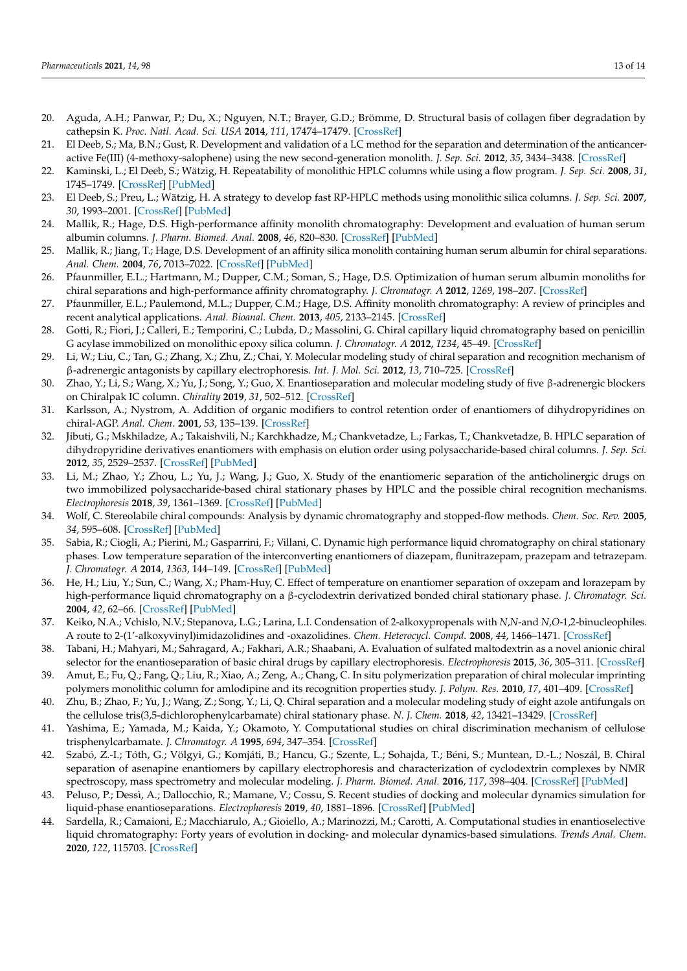- 20. Aguda, A.H.; Panwar, P.; Du, X.; Nguyen, N.T.; Brayer, G.D.; Brömme, D. Structural basis of collagen fiber degradation by cathepsin K. *Proc. Natl. Acad. Sci. USA* **2014**, *111*, 17474–17479. [CrossRef]
- 21. El Deeb, S.; Ma, B.N.; Gust, R. Development and validation of a LC method for the separation and determination of the anticanceractive Fe(III) (4-methoxy-salophene) using the new second-generation monolith. *J. Sep. Sci.* **2012**, *35*, 3434–3438. [CrossRef]
- 22. Kaminski, L.; El Deeb, S.; Wätzig, H. Repeatability of monolithic HPLC columns while using a flow program. *J. Sep. Sci.* **2008**, *31*, 1745–1749. [CrossRef] [PubMed]
- 23. El Deeb, S.; Preu, L.; Wätzig, H. A strategy to develop fast RP-HPLC methods using monolithic silica columns. *J. Sep. Sci.* **2007**, *30*, 1993–2001. [CrossRef] [PubMed]
- 24. Mallik, R.; Hage, D.S. High-performance affinity monolith chromatography: Development and evaluation of human serum albumin columns. *J. Pharm. Biomed. Anal.* **2008**, *46*, 820–830. [CrossRef] [PubMed]
- 25. Mallik, R.; Jiang, T.; Hage, D.S. Development of an affinity silica monolith containing human serum albumin for chiral separations. *Anal. Chem.* **2004**, *76*, 7013–7022. [CrossRef] [PubMed]
- 26. Pfaunmiller, E.L.; Hartmann, M.; Dupper, C.M.; Soman, S.; Hage, D.S. Optimization of human serum albumin monoliths for chiral separations and high-performance affinity chromatography. *J. Chromatogr. A* **2012**, *1269*, 198–207. [CrossRef]
- 27. Pfaunmiller, E.L.; Paulemond, M.L.; Dupper, C.M.; Hage, D.S. Affinity monolith chromatography: A review of principles and recent analytical applications. *Anal. Bioanal. Chem.* **2013**, *405*, 2133–2145. [CrossRef]
- 28. Gotti, R.; Fiori, J.; Calleri, E.; Temporini, C.; Lubda, D.; Massolini, G. Chiral capillary liquid chromatography based on penicillin G acylase immobilized on monolithic epoxy silica column. *J. Chromatogr. A* **2012**, *1234*, 45–49. [CrossRef]
- 29. Li, W.; Liu, C.; Tan, G.; Zhang, X.; Zhu, Z.; Chai, Y. Molecular modeling study of chiral separation and recognition mechanism of β-adrenergic antagonists by capillary electrophoresis. *Int. J. Mol. Sci.* **2012**, *13*, 710–725. [CrossRef]
- 30. Zhao, Y.; Li, S.; Wang, X.; Yu, J.; Song, Y.; Guo, X. Enantioseparation and molecular modeling study of five β-adrenergic blockers on Chiralpak IC column. *Chirality* **2019**, *31*, 502–512. [CrossRef]
- 31. Karlsson, A.; Nystrom, A. Addition of organic modifiers to control retention order of enantiomers of dihydropyridines on chiral-AGP. *Anal. Chem.* **2001**, *53*, 135–139. [CrossRef]
- 32. Jibuti, G.; Mskhiladze, A.; Takaishvili, N.; Karchkhadze, M.; Chankvetadze, L.; Farkas, T.; Chankvetadze, B. HPLC separation of dihydropyridine derivatives enantiomers with emphasis on elution order using polysaccharide-based chiral columns. *J. Sep. Sci.* **2012**, *35*, 2529–2537. [CrossRef] [PubMed]
- 33. Li, M.; Zhao, Y.; Zhou, L.; Yu, J.; Wang, J.; Guo, X. Study of the enantiomeric separation of the anticholinergic drugs on two immobilized polysaccharide-based chiral stationary phases by HPLC and the possible chiral recognition mechanisms. *Electrophoresis* **2018**, *39*, 1361–1369. [CrossRef] [PubMed]
- 34. Wolf, C. Stereolabile chiral compounds: Analysis by dynamic chromatography and stopped-flow methods. *Chem. Soc. Rev.* **2005**, *34*, 595–608. [CrossRef] [PubMed]
- 35. Sabia, R.; Ciogli, A.; Pierini, M.; Gasparrini, F.; Villani, C. Dynamic high performance liquid chromatography on chiral stationary phases. Low temperature separation of the interconverting enantiomers of diazepam, flunitrazepam, prazepam and tetrazepam. *J. Chromatogr. A* **2014**, *1363*, 144–149. [CrossRef] [PubMed]
- 36. He, H.; Liu, Y.; Sun, C.; Wang, X.; Pham-Huy, C. Effect of temperature on enantiomer separation of oxzepam and lorazepam by high-performance liquid chromatography on a β-cyclodextrin derivatized bonded chiral stationary phase. *J. Chromatogr. Sci.* **2004**, *42*, 62–66. [CrossRef] [PubMed]
- 37. Keiko, N.A.; Vchislo, N.V.; Stepanova, L.G.; Larina, L.I. Condensation of 2-alkoxypropenals with *N*,*N*-and *N*,*O*-1,2-binucleophiles. A route to 2-(1'-alkoxyvinyl)imidazolidines and -oxazolidines. *Chem. Heterocycl. Compd.* **2008**, *44*, 1466–1471. [CrossRef]
- 38. Tabani, H.; Mahyari, M.; Sahragard, A.; Fakhari, A.R.; Shaabani, A. Evaluation of sulfated maltodextrin as a novel anionic chiral selector for the enantioseparation of basic chiral drugs by capillary electrophoresis. *Electrophoresis* **2015**, *36*, 305–311. [CrossRef]
- 39. Amut, E.; Fu, Q.; Fang, Q.; Liu, R.; Xiao, A.; Zeng, A.; Chang, C. In situ polymerization preparation of chiral molecular imprinting polymers monolithic column for amlodipine and its recognition properties study. *J. Polym. Res.* **2010**, *17*, 401–409. [CrossRef]
- 40. Zhu, B.; Zhao, F.; Yu, J.; Wang, Z.; Song, Y.; Li, Q. Chiral separation and a molecular modeling study of eight azole antifungals on the cellulose tris(3,5-dichlorophenylcarbamate) chiral stationary phase. *N. J. Chem.* **2018**, *42*, 13421–13429. [CrossRef]
- 41. Yashima, E.; Yamada, M.; Kaida, Y.; Okamoto, Y. Computational studies on chiral discrimination mechanism of cellulose trisphenylcarbamate. *J. Chromatogr. A* **1995**, *694*, 347–354. [CrossRef]
- 42. Szabó, Z.-I.; Tóth, G.; Völgyi, G.; Komjáti, B.; Hancu, G.; Szente, L.; Sohajda, T.; Béni, S.; Muntean, D.-L.; Noszál, B. Chiral separation of asenapine enantiomers by capillary electrophoresis and characterization of cyclodextrin complexes by NMR spectroscopy, mass spectrometry and molecular modeling. *J. Pharm. Biomed. Anal.* **2016**, *117*, 398–404. [CrossRef] [PubMed]
- 43. Peluso, P.; Dessì, A.; Dallocchio, R.; Mamane, V.; Cossu, S. Recent studies of docking and molecular dynamics simulation for liquid-phase enantioseparations. *Electrophoresis* **2019**, *40*, 1881–1896. [CrossRef] [PubMed]
- 44. Sardella, R.; Camaioni, E.; Macchiarulo, A.; Gioiello, A.; Marinozzi, M.; Carotti, A. Computational studies in enantioselective liquid chromatography: Forty years of evolution in docking- and molecular dynamics-based simulations. *Trends Anal. Chem.* **2020**, *122*, 115703. [CrossRef]